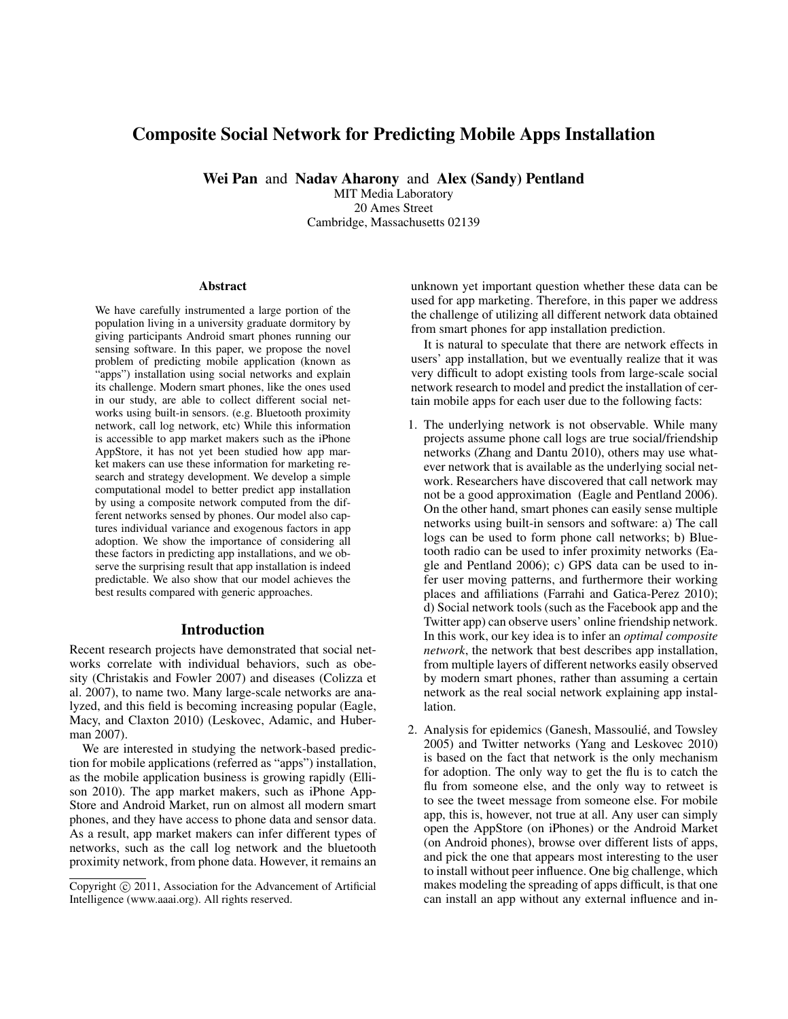# Composite Social Network for Predicting Mobile Apps Installation

Wei Pan and Nadav Aharony and Alex (Sandy) Pentland

MIT Media Laboratory 20 Ames Street Cambridge, Massachusetts 02139

#### Abstract

We have carefully instrumented a large portion of the population living in a university graduate dormitory by giving participants Android smart phones running our sensing software. In this paper, we propose the novel problem of predicting mobile application (known as "apps") installation using social networks and explain its challenge. Modern smart phones, like the ones used in our study, are able to collect different social networks using built-in sensors. (e.g. Bluetooth proximity network, call log network, etc) While this information is accessible to app market makers such as the iPhone AppStore, it has not yet been studied how app market makers can use these information for marketing research and strategy development. We develop a simple computational model to better predict app installation by using a composite network computed from the different networks sensed by phones. Our model also captures individual variance and exogenous factors in app adoption. We show the importance of considering all these factors in predicting app installations, and we observe the surprising result that app installation is indeed predictable. We also show that our model achieves the best results compared with generic approaches.

#### Introduction

Recent research projects have demonstrated that social networks correlate with individual behaviors, such as obesity (Christakis and Fowler 2007) and diseases (Colizza et al. 2007), to name two. Many large-scale networks are analyzed, and this field is becoming increasing popular (Eagle, Macy, and Claxton 2010) (Leskovec, Adamic, and Huberman 2007).

We are interested in studying the network-based prediction for mobile applications (referred as "apps") installation, as the mobile application business is growing rapidly (Ellison 2010). The app market makers, such as iPhone App-Store and Android Market, run on almost all modern smart phones, and they have access to phone data and sensor data. As a result, app market makers can infer different types of networks, such as the call log network and the bluetooth proximity network, from phone data. However, it remains an unknown yet important question whether these data can be used for app marketing. Therefore, in this paper we address the challenge of utilizing all different network data obtained from smart phones for app installation prediction.

It is natural to speculate that there are network effects in users' app installation, but we eventually realize that it was very difficult to adopt existing tools from large-scale social network research to model and predict the installation of certain mobile apps for each user due to the following facts:

- 1. The underlying network is not observable. While many projects assume phone call logs are true social/friendship networks (Zhang and Dantu 2010), others may use whatever network that is available as the underlying social network. Researchers have discovered that call network may not be a good approximation (Eagle and Pentland 2006). On the other hand, smart phones can easily sense multiple networks using built-in sensors and software: a) The call logs can be used to form phone call networks; b) Bluetooth radio can be used to infer proximity networks (Eagle and Pentland 2006); c) GPS data can be used to infer user moving patterns, and furthermore their working places and affiliations (Farrahi and Gatica-Perez 2010); d) Social network tools (such as the Facebook app and the Twitter app) can observe users' online friendship network. In this work, our key idea is to infer an *optimal composite network*, the network that best describes app installation, from multiple layers of different networks easily observed by modern smart phones, rather than assuming a certain network as the real social network explaining app installation.
- 2. Analysis for epidemics (Ganesh, Massoulié, and Towsley 2005) and Twitter networks (Yang and Leskovec 2010) is based on the fact that network is the only mechanism for adoption. The only way to get the flu is to catch the flu from someone else, and the only way to retweet is to see the tweet message from someone else. For mobile app, this is, however, not true at all. Any user can simply open the AppStore (on iPhones) or the Android Market (on Android phones), browse over different lists of apps, and pick the one that appears most interesting to the user to install without peer influence. One big challenge, which makes modeling the spreading of apps difficult, is that one can install an app without any external influence and in-

Copyright (c) 2011, Association for the Advancement of Artificial Intelligence (www.aaai.org). All rights reserved.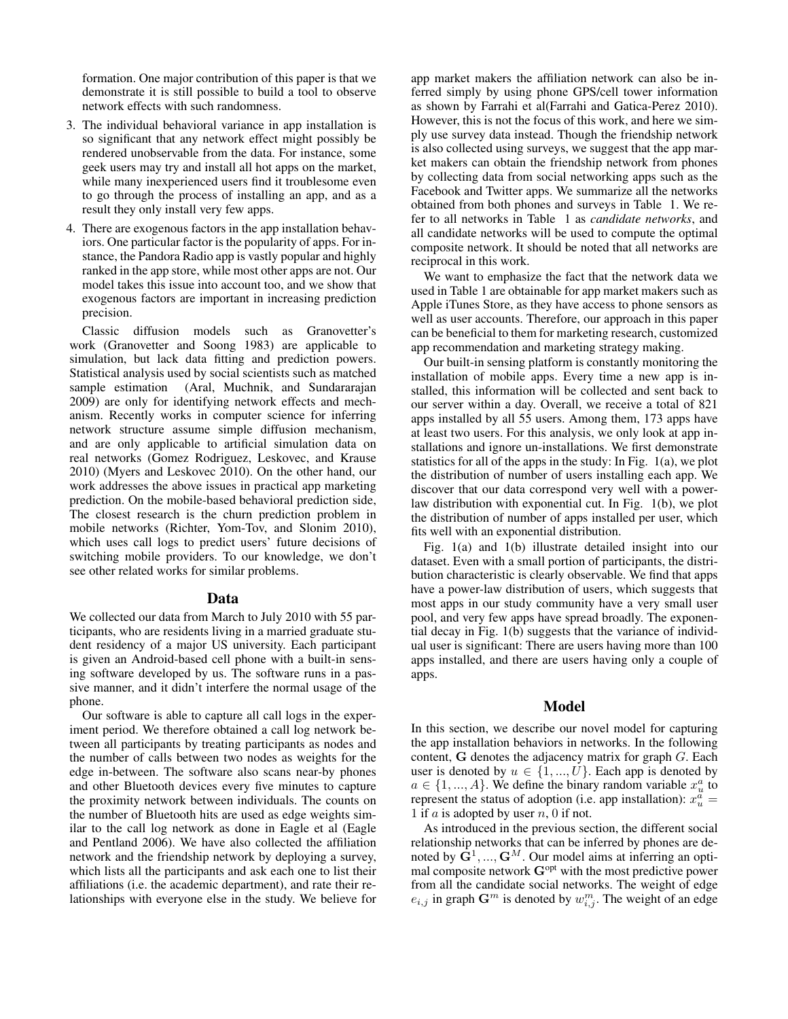formation. One major contribution of this paper is that we demonstrate it is still possible to build a tool to observe network effects with such randomness.

- 3. The individual behavioral variance in app installation is so significant that any network effect might possibly be rendered unobservable from the data. For instance, some geek users may try and install all hot apps on the market, while many inexperienced users find it troublesome even to go through the process of installing an app, and as a result they only install very few apps.
- 4. There are exogenous factors in the app installation behaviors. One particular factor is the popularity of apps. For instance, the Pandora Radio app is vastly popular and highly ranked in the app store, while most other apps are not. Our model takes this issue into account too, and we show that exogenous factors are important in increasing prediction precision.

Classic diffusion models such as Granovetter's work (Granovetter and Soong 1983) are applicable to simulation, but lack data fitting and prediction powers. Statistical analysis used by social scientists such as matched sample estimation (Aral, Muchnik, and Sundararajan 2009) are only for identifying network effects and mechanism. Recently works in computer science for inferring network structure assume simple diffusion mechanism, and are only applicable to artificial simulation data on real networks (Gomez Rodriguez, Leskovec, and Krause 2010) (Myers and Leskovec 2010). On the other hand, our work addresses the above issues in practical app marketing prediction. On the mobile-based behavioral prediction side, The closest research is the churn prediction problem in mobile networks (Richter, Yom-Tov, and Slonim 2010), which uses call logs to predict users' future decisions of switching mobile providers. To our knowledge, we don't see other related works for similar problems.

#### Data

We collected our data from March to July 2010 with 55 participants, who are residents living in a married graduate student residency of a major US university. Each participant is given an Android-based cell phone with a built-in sensing software developed by us. The software runs in a passive manner, and it didn't interfere the normal usage of the phone.

Our software is able to capture all call logs in the experiment period. We therefore obtained a call log network between all participants by treating participants as nodes and the number of calls between two nodes as weights for the edge in-between. The software also scans near-by phones and other Bluetooth devices every five minutes to capture the proximity network between individuals. The counts on the number of Bluetooth hits are used as edge weights similar to the call log network as done in Eagle et al (Eagle and Pentland 2006). We have also collected the affiliation network and the friendship network by deploying a survey, which lists all the participants and ask each one to list their affiliations (i.e. the academic department), and rate their relationships with everyone else in the study. We believe for

app market makers the affiliation network can also be inferred simply by using phone GPS/cell tower information as shown by Farrahi et al(Farrahi and Gatica-Perez 2010). However, this is not the focus of this work, and here we simply use survey data instead. Though the friendship network is also collected using surveys, we suggest that the app market makers can obtain the friendship network from phones by collecting data from social networking apps such as the Facebook and Twitter apps. We summarize all the networks obtained from both phones and surveys in Table 1. We refer to all networks in Table 1 as *candidate networks*, and all candidate networks will be used to compute the optimal composite network. It should be noted that all networks are reciprocal in this work.

We want to emphasize the fact that the network data we used in Table 1 are obtainable for app market makers such as Apple iTunes Store, as they have access to phone sensors as well as user accounts. Therefore, our approach in this paper can be beneficial to them for marketing research, customized app recommendation and marketing strategy making.

Our built-in sensing platform is constantly monitoring the installation of mobile apps. Every time a new app is installed, this information will be collected and sent back to our server within a day. Overall, we receive a total of 821 apps installed by all 55 users. Among them, 173 apps have at least two users. For this analysis, we only look at app installations and ignore un-installations. We first demonstrate statistics for all of the apps in the study: In Fig. 1(a), we plot the distribution of number of users installing each app. We discover that our data correspond very well with a powerlaw distribution with exponential cut. In Fig. 1(b), we plot the distribution of number of apps installed per user, which fits well with an exponential distribution.

Fig. 1(a) and 1(b) illustrate detailed insight into our dataset. Even with a small portion of participants, the distribution characteristic is clearly observable. We find that apps have a power-law distribution of users, which suggests that most apps in our study community have a very small user pool, and very few apps have spread broadly. The exponential decay in Fig. 1(b) suggests that the variance of individual user is significant: There are users having more than 100 apps installed, and there are users having only a couple of apps.

#### Model

In this section, we describe our novel model for capturing the app installation behaviors in networks. In the following content, G denotes the adjacency matrix for graph G. Each user is denoted by  $u \in \{1, ..., U\}$ . Each app is denoted by  $a \in \{1, ..., A\}$ . We define the binary random variable  $x_u^a$  to represent the status of adoption (i.e. app installation):  $x_u^{\tilde{a}} =$ 1 if  $a$  is adopted by user  $n$ , 0 if not.

As introduced in the previous section, the different social relationship networks that can be inferred by phones are denoted by  $\bar{G}^1, ..., G^M$ . Our model aims at inferring an optimal composite network  $\mathbf{G}^{\text{opt}}$  with the most predictive power from all the candidate social networks. The weight of edge  $e_{i,j}$  in graph  $\mathbf{G}^m$  is denoted by  $w_{i,j}^m$ . The weight of an edge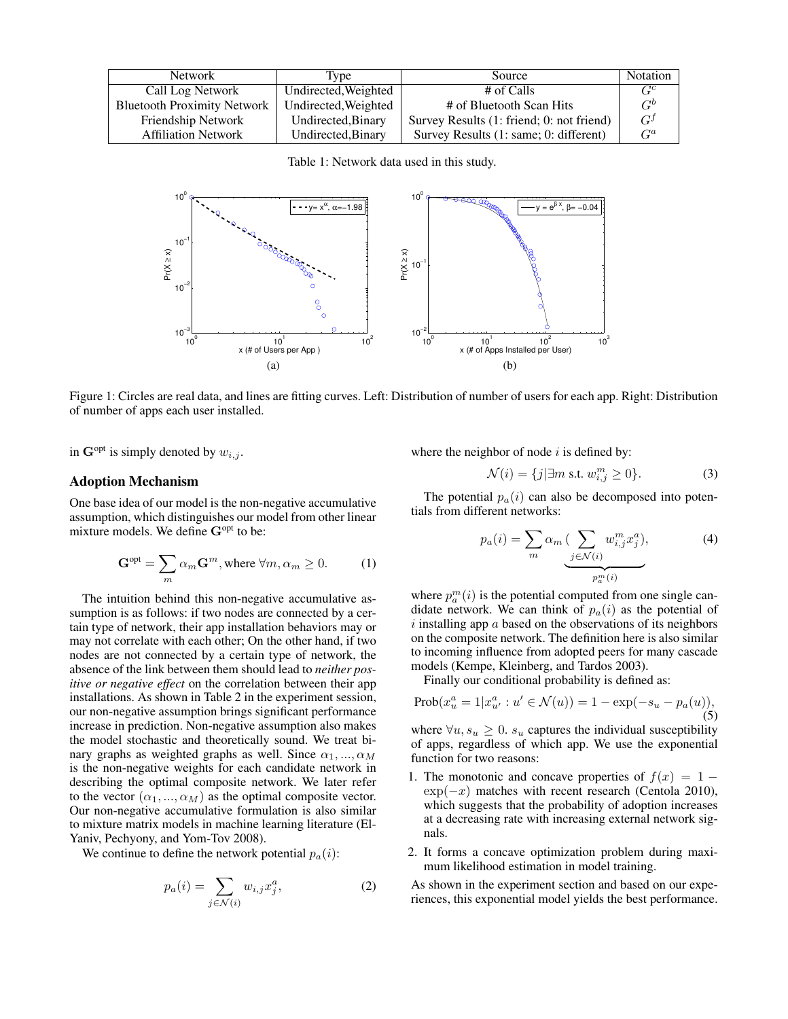| Network                            | <b>Type</b>          | Source                                    | Notation |
|------------------------------------|----------------------|-------------------------------------------|----------|
| Call Log Network                   | Undirected, Weighted | # of Calls                                | $C^c$    |
| <b>Bluetooth Proximity Network</b> | Undirected, Weighted | # of Bluetooth Scan Hits                  | $G^b$    |
| Friendship Network                 | Undirected, Binary   | Survey Results (1: friend; 0: not friend) | $G^{j}$  |
| <b>Affiliation Network</b>         | Undirected, Binary   | Survey Results (1: same; 0: different)    | $G^a$    |

Table 1: Network data used in this study.



Figure 1: Circles are real data, and lines are fitting curves. Left: Distribution of number of users for each app. Right: Distribution of number of apps each user installed.

in  $\mathbf{G}^{\text{opt}}$  is simply denoted by  $w_{i,j}$ .

#### Adoption Mechanism

One base idea of our model is the non-negative accumulative assumption, which distinguishes our model from other linear mixture models. We define G<sup>opt</sup> to be:

$$
\mathbf{G}^{\text{opt}} = \sum_{m} \alpha_m \mathbf{G}^m, \text{where } \forall m, \alpha_m \ge 0. \tag{1}
$$

The intuition behind this non-negative accumulative assumption is as follows: if two nodes are connected by a certain type of network, their app installation behaviors may or may not correlate with each other; On the other hand, if two nodes are not connected by a certain type of network, the absence of the link between them should lead to *neither positive or negative effect* on the correlation between their app installations. As shown in Table 2 in the experiment session, our non-negative assumption brings significant performance increase in prediction. Non-negative assumption also makes the model stochastic and theoretically sound. We treat binary graphs as weighted graphs as well. Since  $\alpha_1, ..., \alpha_M$ is the non-negative weights for each candidate network in describing the optimal composite network. We later refer to the vector  $(\alpha_1, ..., \alpha_M)$  as the optimal composite vector. Our non-negative accumulative formulation is also similar to mixture matrix models in machine learning literature (El-Yaniv, Pechyony, and Yom-Tov 2008).

We continue to define the network potential  $p_a(i)$ :

$$
p_a(i) = \sum_{j \in \mathcal{N}(i)} w_{i,j} x_j^a,
$$
 (2)

where the neighbor of node  $i$  is defined by:

$$
\mathcal{N}(i) = \{j | \exists m \text{ s.t. } w_{i,j}^m \ge 0\}. \tag{3}
$$

The potential  $p_a(i)$  can also be decomposed into potentials from different networks:

$$
p_a(i) = \sum_m \alpha_m \underbrace{\left(\sum_{j \in \mathcal{N}(i)} w_{i,j}^m x_j^a\right)}_{p_a^m(i)},\tag{4}
$$

where  $p_a^m(i)$  is the potential computed from one single candidate network. We can think of  $p_a(i)$  as the potential of  $i$  installing app  $\alpha$  based on the observations of its neighbors on the composite network. The definition here is also similar to incoming influence from adopted peers for many cascade models (Kempe, Kleinberg, and Tardos 2003).

Finally our conditional probability is defined as:

$$
Prob(x_u^a = 1 | x_{u'}^a : u' \in \mathcal{N}(u)) = 1 - \exp(-s_u - p_a(u)),
$$
\n(5)

where  $\forall u, s_u \geq 0$ .  $s_u$  captures the individual susceptibility of apps, regardless of which app. We use the exponential function for two reasons:

- 1. The monotonic and concave properties of  $f(x) = 1 \exp(-x)$  matches with recent research (Centola 2010), which suggests that the probability of adoption increases at a decreasing rate with increasing external network signals.
- 2. It forms a concave optimization problem during maximum likelihood estimation in model training.

As shown in the experiment section and based on our experiences, this exponential model yields the best performance.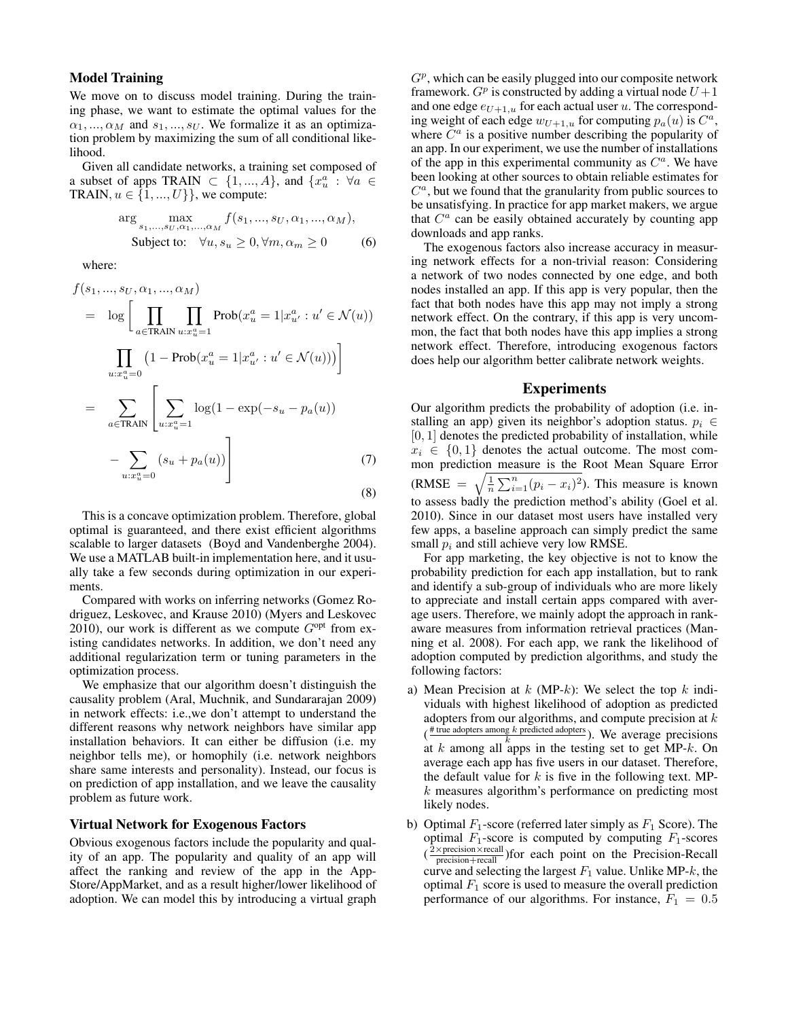# Model Training

We move on to discuss model training. During the training phase, we want to estimate the optimal values for the  $\alpha_1, ..., \alpha_M$  and  $s_1, ..., s_U$ . We formalize it as an optimization problem by maximizing the sum of all conditional likelihood.

Given all candidate networks, a training set composed of a subset of apps TRAIN  $\subset \{1, ..., A\}$ , and  $\{x_u^a : \forall a \in$ TRAIN,  $u \in \{1, ..., U\}$ , we compute:

$$
\arg\max_{s_1,\dots,s_U,\alpha_1,\dots,\alpha_M} f(s_1,\dots,s_U,\alpha_1,\dots,\alpha_M),
$$
  
Subject to:  $\forall u, s_u \ge 0, \forall m, \alpha_m \ge 0$  (6)

where:

$$
f(s_1, ..., s_U, \alpha_1, ..., \alpha_M)
$$
  
=  $\log \left[ \prod_{a \in \text{TRAN}} \prod_{u : x_u^a = 1} \text{Prob}(x_u^a = 1 | x_{u'}^a : u' \in \mathcal{N}(u)) \right]$   

$$
\prod_{u : x_u^a = 0} (1 - \text{Prob}(x_u^a = 1 | x_{u'}^a : u' \in \mathcal{N}(u))) \right]
$$
  
=  $\sum_{a \in \text{TRAN}} \left[ \sum_{u : x_u^a = 1} \log(1 - \exp(-s_u - p_a(u)) - \sum_{u : x_u^a = 0} (s_u + p_a(u)) \right]$  (7)

This is a concave optimization problem. Therefore, global optimal is guaranteed, and there exist efficient algorithms scalable to larger datasets (Boyd and Vandenberghe 2004). We use a MATLAB built-in implementation here, and it usually take a few seconds during optimization in our experiments.

Compared with works on inferring networks (Gomez Rodriguez, Leskovec, and Krause 2010) (Myers and Leskovec 2010), our work is different as we compute  $G<sup>opt</sup>$  from existing candidates networks. In addition, we don't need any additional regularization term or tuning parameters in the optimization process.

We emphasize that our algorithm doesn't distinguish the causality problem (Aral, Muchnik, and Sundararajan 2009) in network effects: i.e.,we don't attempt to understand the different reasons why network neighbors have similar app installation behaviors. It can either be diffusion (i.e. my neighbor tells me), or homophily (i.e. network neighbors share same interests and personality). Instead, our focus is on prediction of app installation, and we leave the causality problem as future work.

#### Virtual Network for Exogenous Factors

Obvious exogenous factors include the popularity and quality of an app. The popularity and quality of an app will affect the ranking and review of the app in the App-Store/AppMarket, and as a result higher/lower likelihood of adoption. We can model this by introducing a virtual graph

 $G<sup>p</sup>$ , which can be easily plugged into our composite network framework.  $G^p$  is constructed by adding a virtual node  $U+1$ and one edge  $e_{U+1,u}$  for each actual user u. The corresponding weight of each edge  $w_{U+1,u}$  for computing  $p_a(u)$  is  $C^a$ , where  $\tilde{C}^a$  is a positive number describing the popularity of an app. In our experiment, we use the number of installations of the app in this experimental community as  $C^a$ . We have been looking at other sources to obtain reliable estimates for  $C<sup>a</sup>$ , but we found that the granularity from public sources to be unsatisfying. In practice for app market makers, we argue that  $C^a$  can be easily obtained accurately by counting app downloads and app ranks.

The exogenous factors also increase accuracy in measuring network effects for a non-trivial reason: Considering a network of two nodes connected by one edge, and both nodes installed an app. If this app is very popular, then the fact that both nodes have this app may not imply a strong network effect. On the contrary, if this app is very uncommon, the fact that both nodes have this app implies a strong network effect. Therefore, introducing exogenous factors does help our algorithm better calibrate network weights.

## Experiments

Our algorithm predicts the probability of adoption (i.e. installing an app) given its neighbor's adoption status.  $p_i \in$  $[0, 1]$  denotes the predicted probability of installation, while  $x_i \in \{0,1\}$  denotes the actual outcome. The most common prediction measure is the Root Mean Square Error (RMSE =  $\sqrt{\frac{1}{n} \sum_{i=1}^{n} (p_i - x_i)^2}$ ). This measure is known to assess badly the prediction method's ability (Goel et al. 2010). Since in our dataset most users have installed very few apps, a baseline approach can simply predict the same small  $p_i$  and still achieve very low RMSE.

For app marketing, the key objective is not to know the probability prediction for each app installation, but to rank and identify a sub-group of individuals who are more likely to appreciate and install certain apps compared with average users. Therefore, we mainly adopt the approach in rankaware measures from information retrieval practices (Manning et al. 2008). For each app, we rank the likelihood of adoption computed by prediction algorithms, and study the following factors:

- a) Mean Precision at  $k$  (MP-k): We select the top  $k$  individuals with highest likelihood of adoption as predicted adopters from our algorithms, and compute precision at  $k$ ( $\frac{\#$  true adopters among k predicted adopters). We average precisions at  $k$  among all apps in the testing set to get MP- $k$ . On average each app has five users in our dataset. Therefore, the default value for  $k$  is five in the following text. MPk measures algorithm's performance on predicting most likely nodes.
- b) Optimal  $F_1$ -score (referred later simply as  $F_1$  Score). The optimal  $F_1$ -score is computed by computing  $F_1$ -scores  $(\frac{2 \times \text{precision} \times \text{recall}}{\text{precision} + \text{recall}})$  for each point on the Precision-Recall curve and selecting the largest  $F_1$  value. Unlike MP-k, the optimal  $F_1$  score is used to measure the overall prediction performance of our algorithms. For instance,  $F_1 = 0.5$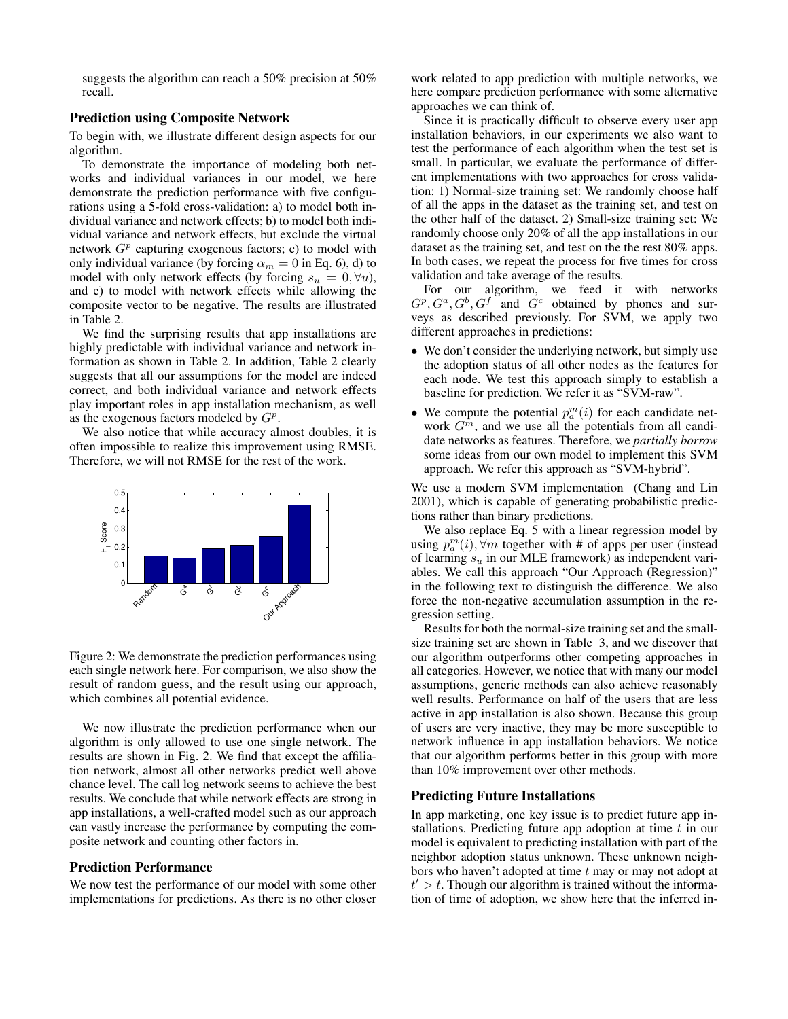suggests the algorithm can reach a 50% precision at 50% recall.

## Prediction using Composite Network

To begin with, we illustrate different design aspects for our algorithm.

To demonstrate the importance of modeling both networks and individual variances in our model, we here demonstrate the prediction performance with five configurations using a 5-fold cross-validation: a) to model both individual variance and network effects; b) to model both individual variance and network effects, but exclude the virtual network  $G<sup>p</sup>$  capturing exogenous factors; c) to model with only individual variance (by forcing  $\alpha_m = 0$  in Eq. 6), d) to model with only network effects (by forcing  $s_u = 0, \forall u$ ), and e) to model with network effects while allowing the composite vector to be negative. The results are illustrated in Table 2.

We find the surprising results that app installations are highly predictable with individual variance and network information as shown in Table 2. In addition, Table 2 clearly suggests that all our assumptions for the model are indeed correct, and both individual variance and network effects play important roles in app installation mechanism, as well as the exogenous factors modeled by  $G^p$ .

We also notice that while accuracy almost doubles, it is often impossible to realize this improvement using RMSE. Therefore, we will not RMSE for the rest of the work.



Figure 2: We demonstrate the prediction performances using each single network here. For comparison, we also show the result of random guess, and the result using our approach, which combines all potential evidence.

We now illustrate the prediction performance when our algorithm is only allowed to use one single network. The results are shown in Fig. 2. We find that except the affiliation network, almost all other networks predict well above chance level. The call log network seems to achieve the best results. We conclude that while network effects are strong in app installations, a well-crafted model such as our approach can vastly increase the performance by computing the composite network and counting other factors in.

#### Prediction Performance

We now test the performance of our model with some other implementations for predictions. As there is no other closer

work related to app prediction with multiple networks, we here compare prediction performance with some alternative approaches we can think of.

Since it is practically difficult to observe every user app installation behaviors, in our experiments we also want to test the performance of each algorithm when the test set is small. In particular, we evaluate the performance of different implementations with two approaches for cross validation: 1) Normal-size training set: We randomly choose half of all the apps in the dataset as the training set, and test on the other half of the dataset. 2) Small-size training set: We randomly choose only 20% of all the app installations in our dataset as the training set, and test on the the rest 80% apps. In both cases, we repeat the process for five times for cross validation and take average of the results.

For our algorithm, we feed it with networks  $G^p, G^a, G^b, G^f$  and  $G^c$  obtained by phones and surveys as described previously. For SVM, we apply two different approaches in predictions:

- We don't consider the underlying network, but simply use the adoption status of all other nodes as the features for each node. We test this approach simply to establish a baseline for prediction. We refer it as "SVM-raw".
- We compute the potential  $p_a^m(i)$  for each candidate network  $G<sup>m</sup>$ , and we use all the potentials from all candidate networks as features. Therefore, we *partially borrow* some ideas from our own model to implement this SVM approach. We refer this approach as "SVM-hybrid".

We use a modern SVM implementation (Chang and Lin 2001), which is capable of generating probabilistic predictions rather than binary predictions.

We also replace Eq. 5 with a linear regression model by using  $p_a^m(i)$ ,  $\forall m$  together with # of apps per user (instead of learning  $s_u$  in our MLE framework) as independent variables. We call this approach "Our Approach (Regression)" in the following text to distinguish the difference. We also force the non-negative accumulation assumption in the regression setting.

Results for both the normal-size training set and the smallsize training set are shown in Table 3, and we discover that our algorithm outperforms other competing approaches in all categories. However, we notice that with many our model assumptions, generic methods can also achieve reasonably well results. Performance on half of the users that are less active in app installation is also shown. Because this group of users are very inactive, they may be more susceptible to network influence in app installation behaviors. We notice that our algorithm performs better in this group with more than 10% improvement over other methods.

## Predicting Future Installations

In app marketing, one key issue is to predict future app installations. Predicting future app adoption at time t in our model is equivalent to predicting installation with part of the neighbor adoption status unknown. These unknown neighbors who haven't adopted at time  $t$  may or may not adopt at  $t' > t$ . Though our algorithm is trained without the information of time of adoption, we show here that the inferred in-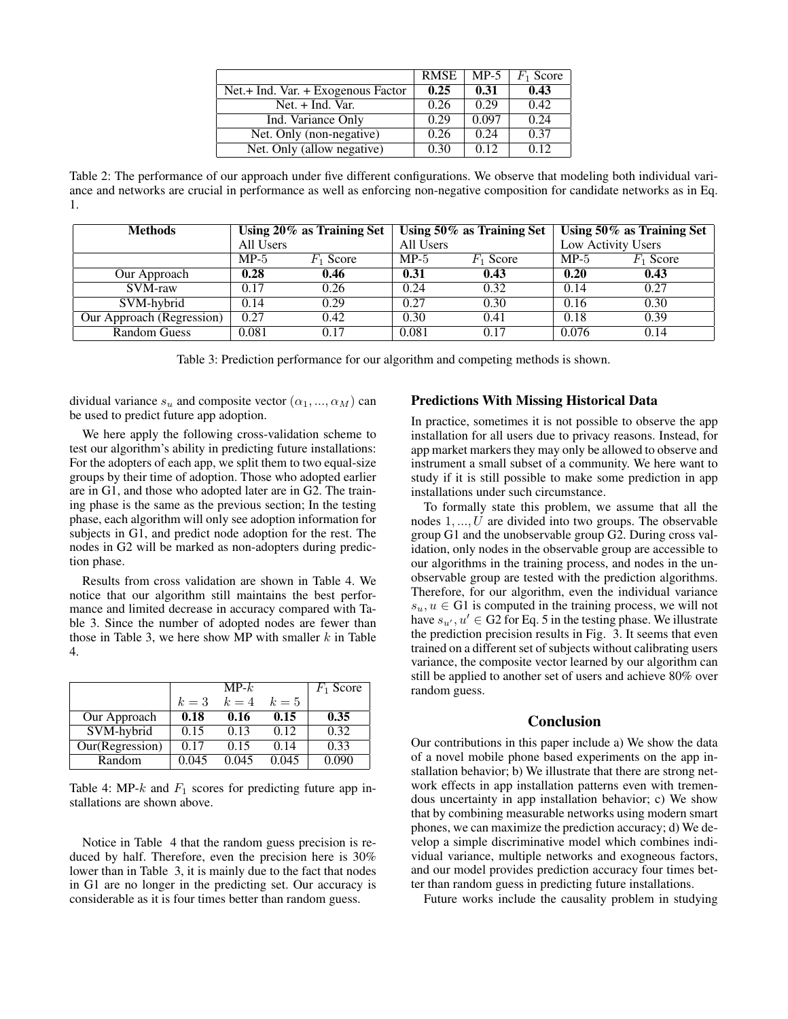|                                    | RMSE | $MP-5$ | $F_1$ Score |
|------------------------------------|------|--------|-------------|
| Net.+ Ind. Var. + Exogenous Factor | 0.25 | 0.31   | 0.43        |
| Net. + Ind. Var.                   | 0.26 | 0.29   | 0.42        |
| Ind. Variance Only                 | 0.29 | 0.097  | 0.24        |
| Net. Only (non-negative)           | 0.26 | 0.24   | 0.37        |
| Net. Only (allow negative)         | 0.30 | 0.12   | 0.12        |

Table 2: The performance of our approach under five different configurations. We observe that modeling both individual variance and networks are crucial in performance as well as enforcing non-negative composition for candidate networks as in Eq. 1.

| <b>Methods</b>            | Using 20% as Training Set |             | Using $50\%$ as Training Set |             | Using $50\%$ as Training Set |                    |
|---------------------------|---------------------------|-------------|------------------------------|-------------|------------------------------|--------------------|
|                           | All Users                 |             | All Users                    |             |                              | Low Activity Users |
|                           | $MP-5$                    | $F_1$ Score | $MP-5$                       | $F_1$ Score | $MP-5$                       | $F_1$ Score        |
| Our Approach              | 0.28                      | 0.46        | 0.31                         | 0.43        | 0.20                         | 0.43               |
| SVM-raw                   | 0.17                      | 0.26        | 0.24                         | 0.32        | 0.14                         | 0.27               |
| SVM-hybrid                | 0.14                      | 0.29        | 0.27                         | 0.30        | 0.16                         | 0.30               |
| Our Approach (Regression) | 0.27                      | 0.42        | 0.30                         | 0.41        | 0.18                         | 0.39               |
| <b>Random Guess</b>       | 0.081                     | 0.17        | 0.081                        | 0.17        | 0.076                        | 0.14               |

Table 3: Prediction performance for our algorithm and competing methods is shown.

dividual variance  $s_u$  and composite vector  $(\alpha_1, ..., \alpha_M)$  can be used to predict future app adoption.

We here apply the following cross-validation scheme to test our algorithm's ability in predicting future installations: For the adopters of each app, we split them to two equal-size groups by their time of adoption. Those who adopted earlier are in G1, and those who adopted later are in G2. The training phase is the same as the previous section; In the testing phase, each algorithm will only see adoption information for subjects in G1, and predict node adoption for the rest. The nodes in G2 will be marked as non-adopters during prediction phase.

Results from cross validation are shown in Table 4. We notice that our algorithm still maintains the best performance and limited decrease in accuracy compared with Table 3. Since the number of adopted nodes are fewer than those in Table 3, we here show MP with smaller  $k$  in Table 4.

|                 |       | $MP-k$ |       | $F_1$ Score |
|-----------------|-------|--------|-------|-------------|
|                 | $k=3$ | $k=4$  | $k=5$ |             |
| Our Approach    | 0.18  | 0.16   | 0.15  | 0.35        |
| SVM-hybrid      | 0.15  | 0.13   | 0.12  | 0.32        |
| Our(Regression) | 0.17  | 0.15   | 0.14  | 0.33        |
| Random          | 0.045 | 0.045  | 0.045 | 0.090       |

Table 4: MP-k and  $F_1$  scores for predicting future app installations are shown above.

Notice in Table 4 that the random guess precision is reduced by half. Therefore, even the precision here is 30% lower than in Table 3, it is mainly due to the fact that nodes in G1 are no longer in the predicting set. Our accuracy is considerable as it is four times better than random guess.

#### Predictions With Missing Historical Data

In practice, sometimes it is not possible to observe the app installation for all users due to privacy reasons. Instead, for app market markers they may only be allowed to observe and instrument a small subset of a community. We here want to study if it is still possible to make some prediction in app installations under such circumstance.

To formally state this problem, we assume that all the nodes 1, ..., U are divided into two groups. The observable group G1 and the unobservable group G2. During cross validation, only nodes in the observable group are accessible to our algorithms in the training process, and nodes in the unobservable group are tested with the prediction algorithms. Therefore, for our algorithm, even the individual variance  $s_u, u \in G1$  is computed in the training process, we will not have  $s_{u'}, u' \in G2$  for Eq. 5 in the testing phase. We illustrate the prediction precision results in Fig. 3. It seems that even trained on a different set of subjects without calibrating users variance, the composite vector learned by our algorithm can still be applied to another set of users and achieve 80% over random guess.

# Conclusion

Our contributions in this paper include a) We show the data of a novel mobile phone based experiments on the app installation behavior; b) We illustrate that there are strong network effects in app installation patterns even with tremendous uncertainty in app installation behavior; c) We show that by combining measurable networks using modern smart phones, we can maximize the prediction accuracy; d) We develop a simple discriminative model which combines individual variance, multiple networks and exogneous factors, and our model provides prediction accuracy four times better than random guess in predicting future installations.

Future works include the causality problem in studying